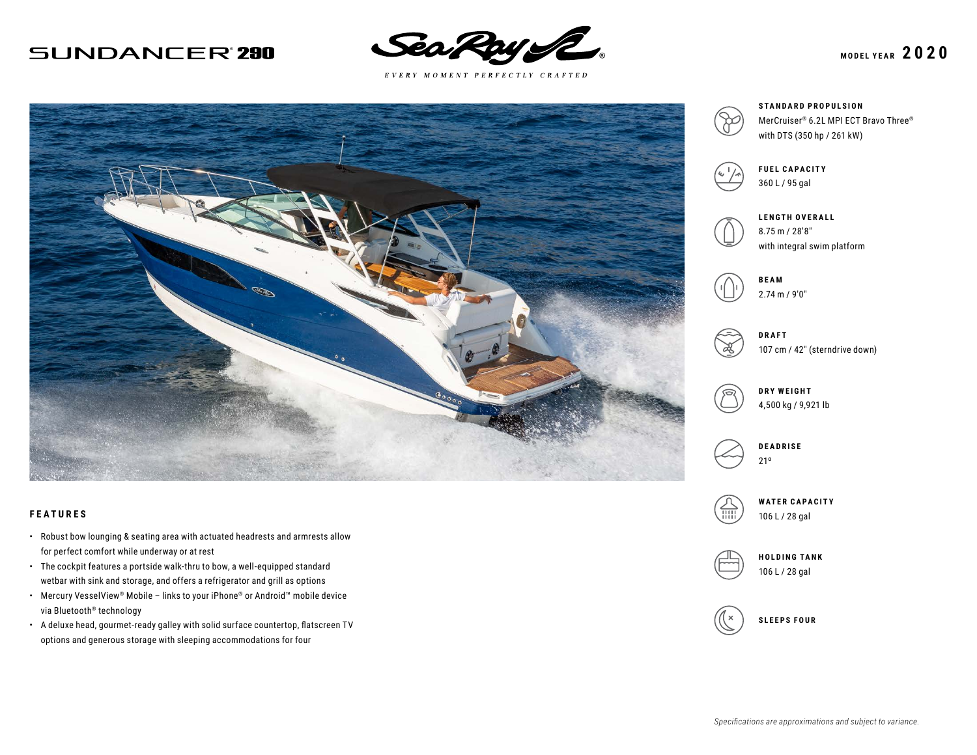## **SUNDANCER'290**



 $E \; V \; E \; R \; Y \quad M \; O \; M \; E \; N \; T \quad P \; E \; R \; F \; E \; C \; T \; L \; Y \quad C \; R \; A \; F \; T \; E \; D$ 



#### **FEATURES**

- Robust bow lounging & seating area with actuated headrests and armrests allow for perfect comfort while underway or at rest
- The cockpit features a portside walk-thru to bow, a well-equipped standard wetbar with sink and storage, and offers a refrigerator and grill as options
- Mercury VesselView® Mobile links to your iPhone® or Android™ mobile device via Bluetooth® technology
- A deluxe head, gourmet-ready galley with solid surface countertop, flatscreen TV options and generous storage with sleeping accommodations for four



## **STANDARD PROPULSION**

MerCruiser® 6.2L MPI ECT Bravo Three® with DTS (350 hp / 261 kW)



**FUEL CAPACITY** 360 L / 95 gal

**LENGTH OVERALL** 8.75 m / 28′8″ with integral swim platform





107 cm / 42″ (sterndrive down)



**DRY WEIGHT** 4,500 kg / 9,921 lb



**WATER CAPACITY** 106 L / 28 gal



106 L / 28 gal

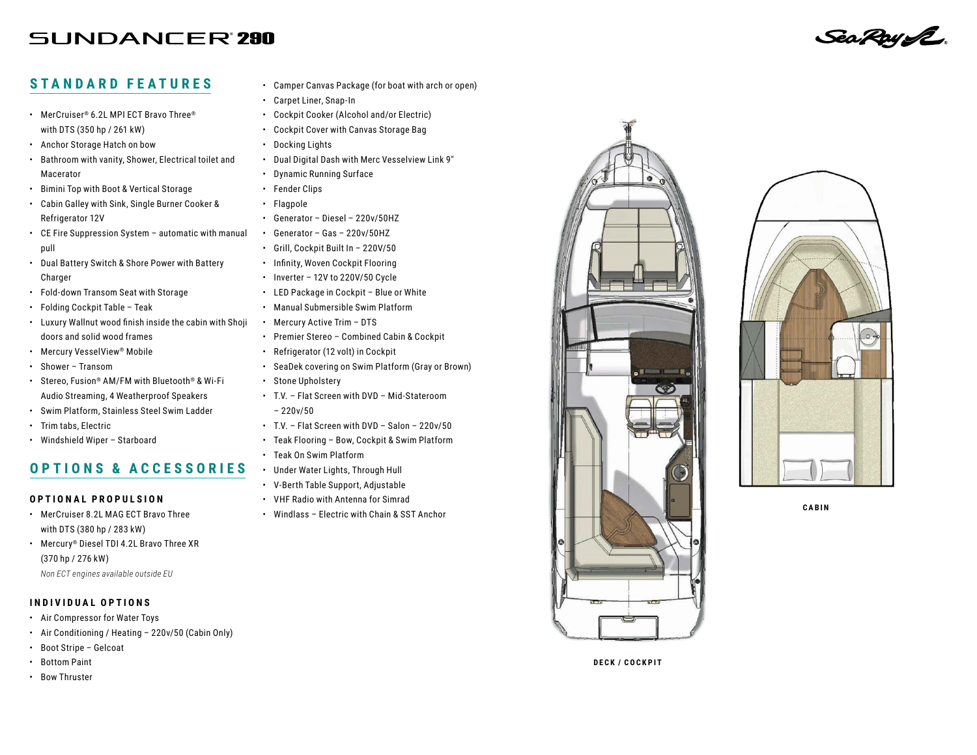# **SUNDANCER'290**

### **STANDARD FEATURES**

- MerCruiser® 6.2L MPI ECT Bravo Three® with DTS (350 hp / 261 kW)
- Anchor Storage Hatch on bow
- Bathroom with vanity, Shower, Electrical toilet and Macerator
- Bimini Top with Boot & Vertical Storage
- Cabin Galley with Sink, Single Burner Cooker & Refrigerator 12V
- CE Fire Suppression System automatic with manual pull
- Dual Battery Switch & Shore Power with Battery Charger
- Fold-down Transom Seat with Storage
- Folding Cockpit Table Teak
- Luxury Wallnut wood finish inside the cabin with Shoji doors and solid wood frames
- Mercury VesselView® Mobile
- Shower Transom
- Stereo, Fusion® AM/FM with Bluetooth® & Wi-Fi Audio Streaming, 4 Weatherproof Speakers
- Swim Platform, Stainless Steel Swim Ladder
- Trim tabs, Electric
- Windshield Wiper Starboard

# **OPTIONS & ACCESSORIES**

#### **OPTIONAL PROPULSION**

- MerCruiser 8.2L MAG ECT Bravo Three with DTS (380 hp / 283 kW)
- Mercury® Diesel TDI 4.2L Bravo Three XR (370 hp / 276 kW)
	- *Non ECT engines available outside EU*

#### **INDIVIDUAL OPTIONS**

- Air Compressor for Water Toys
- Air Conditioning / Heating 220v/50 (Cabin Only)
- Boot Stripe Gelcoat
- Bottom Paint
- Bow Thruster
- Camper Canvas Package (for boat with arch or open)
- Carpet Liner, Snap-In
- Cockpit Cooker (Alcohol and/or Electric)
- Cockpit Cover with Canvas Storage Bag
- Docking Lights
- Dual Digital Dash with Merc Vesselview Link 9″
- Dynamic Running Surface
- Fender Clips
- Flagpole
- Generator Diesel 220v/50HZ
- Generator Gas 220v/50HZ
- Grill, Cockpit Built In 220V/50
- Infinity, Woven Cockpit Flooring
- Inverter 12V to 220V/50 Cycle
- LED Package in Cockpit Blue or White
- Manual Submersible Swim Platform
- Mercury Active Trim DTS
- Premier Stereo Combined Cabin & Cockpit
- Refrigerator (12 volt) in Cockpit
- SeaDek covering on Swim Platform (Gray or Brown)
- Stone Upholstery
- T.V. Flat Screen with DVD Mid-Stateroom  $-220v/50$
- T.V. Flat Screen with DVD Salon 220v/50
- Teak Flooring Bow, Cockpit & Swim Platform
- Teak On Swim Platform
- Under Water Lights, Through Hull
- V-Berth Table Support, Adjustable
- VHF Radio with Antenna for Simrad
- Windlass Electric with Chain & SST Anchor







**DECK / COCKPIT**

SeaRoyL